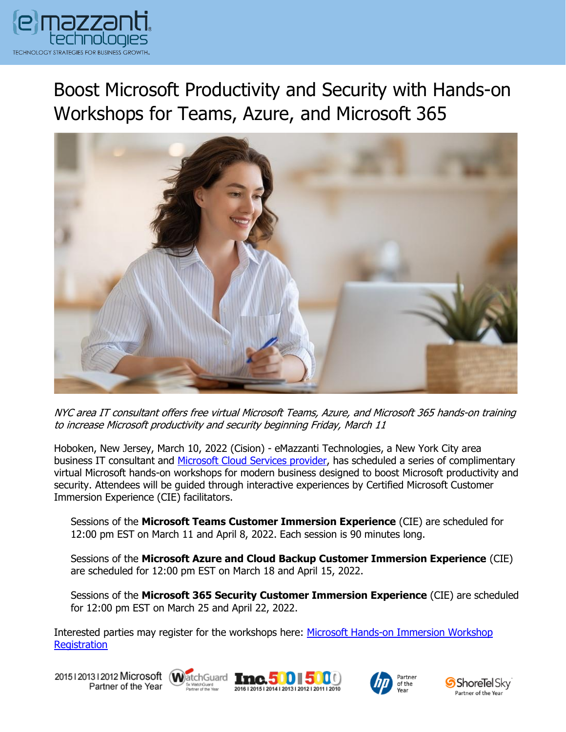

Boost Microsoft Productivity and Security with Hands-on Workshops for Teams, Azure, and Microsoft 365



NYC area IT consultant offers free virtual Microsoft Teams, Azure, and Microsoft 365 hands-on training to increase Microsoft productivity and security beginning Friday, March 11

Hoboken, New Jersey, March 10, 2022 (Cision) - eMazzanti Technologies, a New York City area business IT consultant and Microsoft Cloud [Services provider,](https://www.emazzanti.net/services/cloud-services/) has scheduled a series of complimentary virtual Microsoft hands-on workshops for modern business designed to boost Microsoft productivity and security. Attendees will be guided through interactive experiences by Certified Microsoft Customer Immersion Experience (CIE) facilitators.

Sessions of the **Microsoft Teams Customer Immersion Experience** (CIE) are scheduled for 12:00 pm EST on March 11 and April 8, 2022. Each session is 90 minutes long.

Sessions of the **Microsoft Azure and Cloud Backup Customer Immersion Experience** (CIE) are scheduled for 12:00 pm EST on March 18 and April 15, 2022.

Sessions of the **Microsoft 365 Security Customer Immersion Experience** (CIE) are scheduled for 12:00 pm EST on March 25 and April 22, 2022.

Interested parties may register for the workshops here: [Microsoft Hands-on Immersion Workshop](https://www.emazzanti.net/engage-webinar-series/)  **[Registration](https://www.emazzanti.net/engage-webinar-series/)** 

20151201312012 Microsoft WatchGuard **Inc. 500 5** Partner of the Year







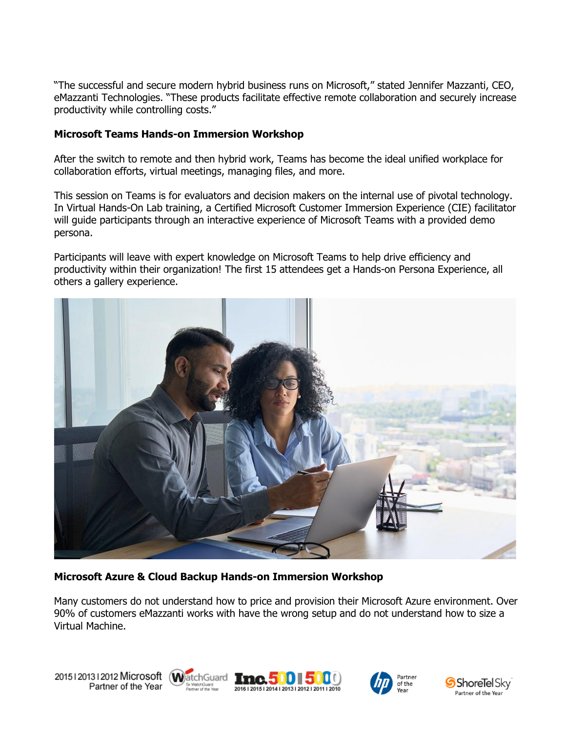"The successful and secure modern hybrid business runs on Microsoft," stated Jennifer Mazzanti, CEO, eMazzanti Technologies. "These products facilitate effective remote collaboration and securely increase productivity while controlling costs."

#### **Microsoft Teams Hands-on Immersion Workshop**

After the switch to remote and then hybrid work, Teams has become the ideal unified workplace for collaboration efforts, virtual meetings, managing files, and more.

This session on Teams is for evaluators and decision makers on the internal use of pivotal technology. In Virtual Hands-On Lab training, a Certified Microsoft Customer Immersion Experience (CIE) facilitator will guide participants through an interactive experience of Microsoft Teams with a provided demo persona.

Participants will leave with expert knowledge on Microsoft Teams to help drive efficiency and productivity within their organization! The first 15 attendees get a Hands-on Persona Experience, all others a gallery experience.



#### **Microsoft Azure & Cloud Backup Hands-on Immersion Workshop**

Many customers do not understand how to price and provision their Microsoft Azure environment. Over 90% of customers eMazzanti works with have the wrong setup and do not understand how to size a Virtual Machine.









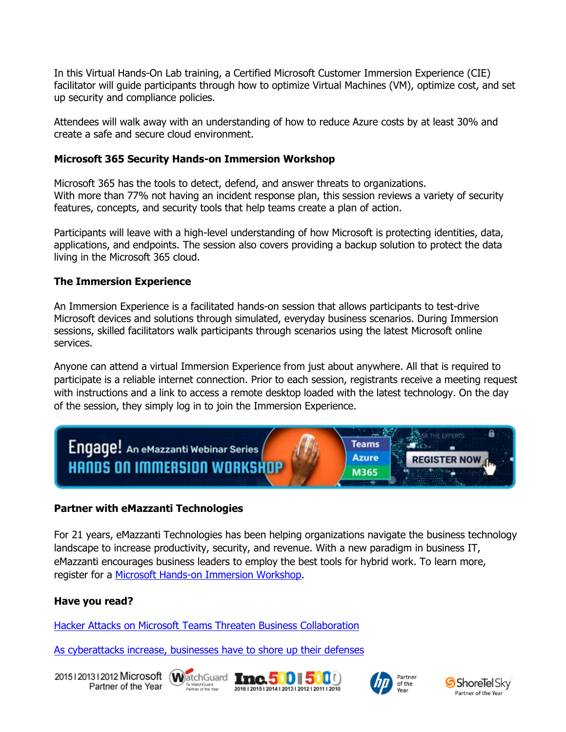In this Virtual Hands-On Lab training, a Certified Microsoft Customer Immersion Experience (CIE) facilitator will guide participants through how to optimize Virtual Machines (VM), optimize cost, and set up security and compliance policies.

Attendees will walk away with an understanding of how to reduce Azure costs by at least 30% and create a safe and secure cloud environment.

## **Microsoft 365 Security Hands-on Immersion Workshop**

Microsoft 365 has the tools to detect, defend, and answer threats to organizations. With more than 77% not having an incident response plan, this session reviews a variety of security features, concepts, and security tools that help teams create a plan of action.

Participants will leave with a high-level understanding of how Microsoft is protecting identities, data, applications, and endpoints. The session also covers providing a backup solution to protect the data living in the Microsoft 365 cloud.

## **The Immersion Experience**

An Immersion Experience is a facilitated hands-on session that allows participants to test-drive Microsoft devices and solutions through simulated, everyday business scenarios. During Immersion sessions, skilled facilitators walk participants through scenarios using the latest Microsoft online services.

Anyone can attend a virtual Immersion Experience from just about anywhere. All that is required to participate is a reliable internet connection. Prior to each session, registrants receive a meeting request with instructions and a link to access a remote desktop loaded with the latest technology. On the day of the session, they simply log in to join the Immersion Experience.



# **Partner with eMazzanti Technologies**

For 21 years, eMazzanti Technologies has been helping organizations navigate the business technology landscape to increase productivity, security, and revenue. With a new paradigm in business IT, eMazzanti encourages business leaders to employ the best tools for hybrid work. To learn more, register for a [Microsoft Hands-on Immersion Workshop.](https://www.emazzanti.net/engage-webinar-series/)

#### **Have you read?**

[Hacker Attacks on Microsoft Teams Threaten Business Collaboration](https://www.emazzanti.net/attacks-on-microsoft-teams/)

[As cyberattacks increase, businesses have to shore up their defenses](https://www.emazzanti.net/as-cyberattacks-increase-businesses-have-to-shore-up-their-defenses/)

20151201312012 Microsoft WatchGuard Tnc. 500 500 Partner of the Year